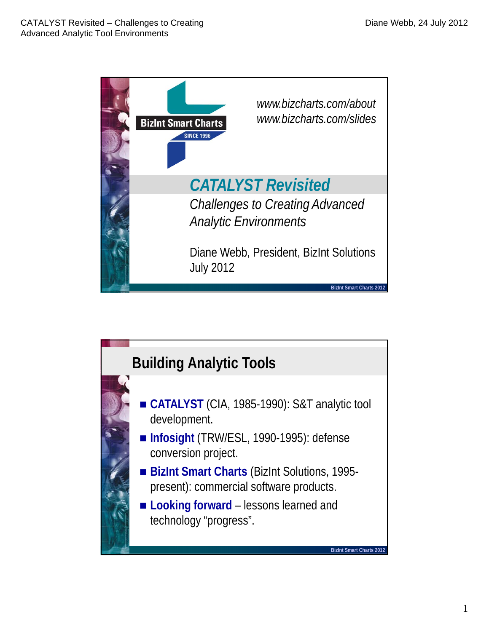

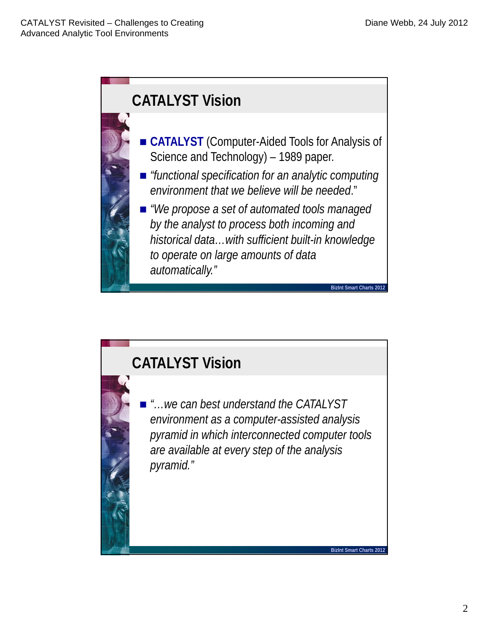

## *"…we can best understand the CATALYST*  **CATALYST Vision** *environment as a computer-assisted analysis pyramid in which interconnected computer tools are available at every step of the analysis pyramid."*

**BizInt Smart Charts 2012**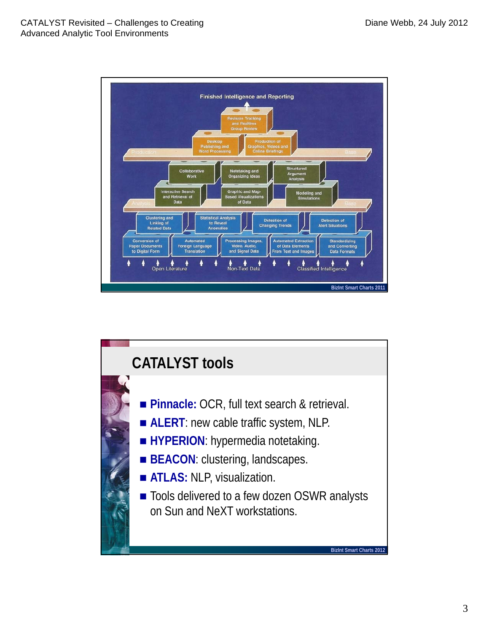

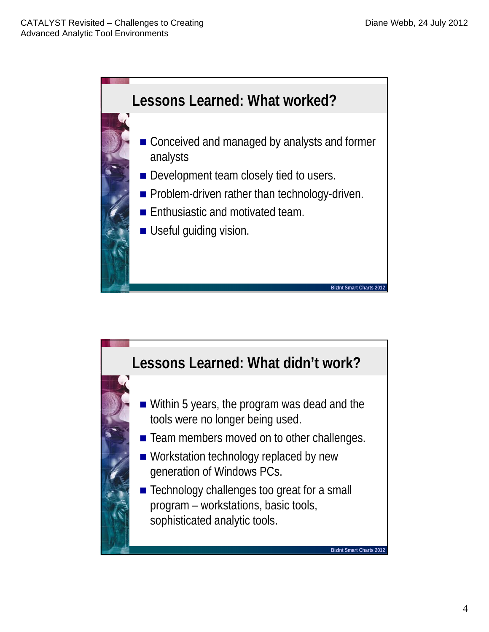

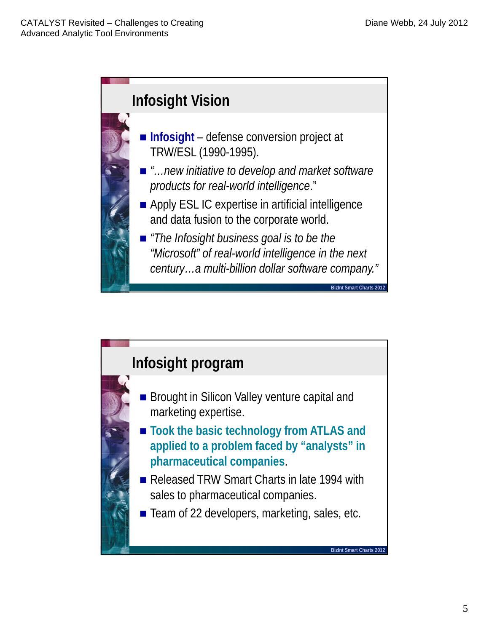

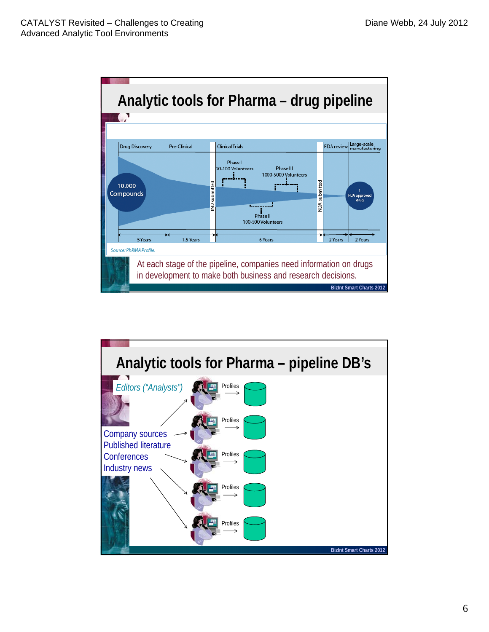

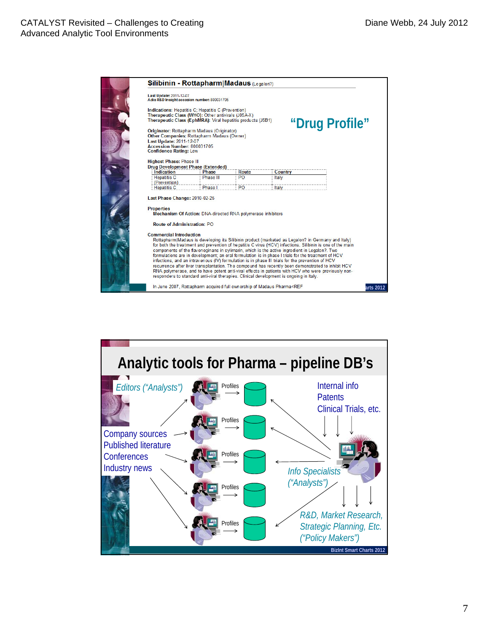| Last Update: 2011-12-07                                                                                                                                                 |              |                |         |                                                                                                    |                |
|-------------------------------------------------------------------------------------------------------------------------------------------------------------------------|--------------|----------------|---------|----------------------------------------------------------------------------------------------------|----------------|
| Adis R&D Insight accesion number: 800031705                                                                                                                             |              |                |         |                                                                                                    |                |
| Indications: Hepatitis C: Hepatitis C (Prevention)<br>Therapeutic Class (WHO): Other antivirals (J05A-X)<br>Therapeutic Class (EphMRA): Viral hepatitis products (J5B1) |              |                |         |                                                                                                    | "Drug Profile" |
| Originator: Rottapharm Madaus (Originator)                                                                                                                              |              |                |         |                                                                                                    |                |
| Other Companies: Rottapharm Madaus (Owner)                                                                                                                              |              |                |         |                                                                                                    |                |
| Last Update: 2011-12-07<br>Accession Number: 800031705                                                                                                                  |              |                |         |                                                                                                    |                |
| <b>Confidence Rating: Low</b>                                                                                                                                           |              |                |         |                                                                                                    |                |
|                                                                                                                                                                         |              |                |         |                                                                                                    |                |
| <b>Highest Phase: Phase III</b>                                                                                                                                         |              |                |         |                                                                                                    |                |
| <b>Drug Development Phase (Extended)</b>                                                                                                                                |              |                |         |                                                                                                    |                |
| Indication                                                                                                                                                              | Phase        | Route          | Country |                                                                                                    |                |
| <b>Hepatitis C</b>                                                                                                                                                      | Phase III    | P <sub>O</sub> | Italy   |                                                                                                    |                |
| (Prevention)                                                                                                                                                            |              |                |         |                                                                                                    |                |
| <b>Hepatitis C</b>                                                                                                                                                      | <b>Phase</b> | PO             | Italy   |                                                                                                    |                |
| Last Phase Change: 2010-02-25<br><b>Properties</b><br><b>Mechanism Of Action: DNA-directed RNA polymerase inhibitors</b>                                                |              |                |         |                                                                                                    |                |
| Route of Administration: PO                                                                                                                                             |              |                |         |                                                                                                    |                |
| <b>Commercial Introduction</b><br>Rottapharm Madaus is developing its Silibinin product (marketed as Legalon? in Germany and Italy)                                     |              |                |         |                                                                                                    |                |
| for both the treatment and prevention of hepatitis C virus (HCV) infections. Silibinin is one of the main                                                               |              |                |         |                                                                                                    |                |
| components of the flavonoginans in sylimarin, which is the active ingredient in Legalon?. Two                                                                           |              |                |         |                                                                                                    |                |
| formulations are in development; an oral formulation is in phase I trials for the treatment of HCV                                                                      |              |                |         |                                                                                                    |                |
| infections, and an intravenous (IV) formulation is in phase III trials for the prevention of HCV                                                                        |              |                |         |                                                                                                    |                |
|                                                                                                                                                                         |              |                |         | recurrence after liver transplantation. The compound has recently been demonstrated to inhibit HCV |                |
|                                                                                                                                                                         |              |                |         |                                                                                                    |                |
| RNA polymerase, and to have potent anti-viral effects in patients with HCV who were previously non-                                                                     |              |                |         |                                                                                                    |                |
| responders to standard anti-viral therapies. Clinical development is ongoing in Italy.                                                                                  |              |                |         |                                                                                                    |                |

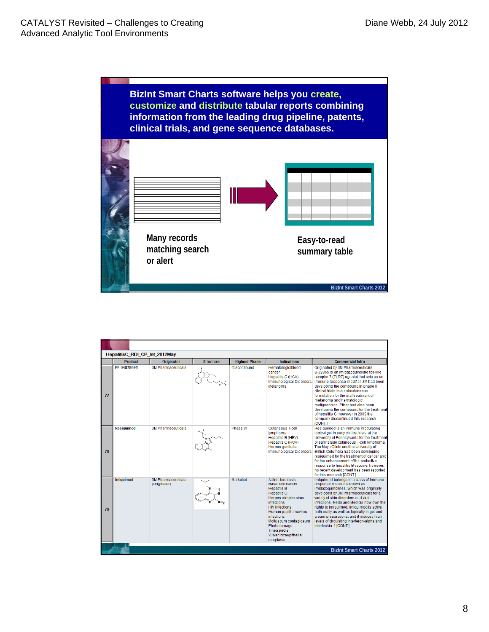**BizInt Smart Charts software helps you create, customize and distribute tabular reports combining information from the leading drug pipeline, patents, clinical trials, and gene sequence databases.**



|    | HepatitisC_RDI_CP_Int_2012May |                                           |                  |                      |                                                                                                                                                                                                                                                                                                     |                                                                                                                                                                                                                                                                                                                                                                                                                                                                                                        |  |  |  |  |
|----|-------------------------------|-------------------------------------------|------------------|----------------------|-----------------------------------------------------------------------------------------------------------------------------------------------------------------------------------------------------------------------------------------------------------------------------------------------------|--------------------------------------------------------------------------------------------------------------------------------------------------------------------------------------------------------------------------------------------------------------------------------------------------------------------------------------------------------------------------------------------------------------------------------------------------------------------------------------------------------|--|--|--|--|
|    | <b>Product</b>                | Originator                                | <b>Structure</b> | <b>Highest Phase</b> | <b>Indications</b>                                                                                                                                                                                                                                                                                  | <b>Commercial Intro</b>                                                                                                                                                                                                                                                                                                                                                                                                                                                                                |  |  |  |  |
| 77 | PF-04878691                   | <b>3M Pharmaceuticals</b>                 |                  | <b>Discontinued</b>  | Hematologic/blood<br>cancer<br><b>Hepatitis C (HCV)</b><br><b>Immunological Disorders</b><br>Melanoma                                                                                                                                                                                               | Originated by 3M Pharmaceuticals,<br>S-32865 is an imidazoguinoline toll-like<br>receptor 7 (TLR7) agonist that acts as an<br>immune response modifier. 3M had been<br>developing the compound in phase II<br>clinical trials in a subcutaneous<br>formulation for the oral treatment of<br>melanoma and hematologic<br>malignancies. Pfizer had also been<br>developing the compound for the treatment<br>of hepatitis C; however in 2009 the<br>company discontinued this research<br><b>[CONT.]</b> |  |  |  |  |
| 78 | <b>Resiguimod</b>             | <b>3M Pharmaceuticals</b>                 |                  | Phase I/II           | Cutaneous T-cell<br>Ivmphoma<br>Hepatitis B (HBV)<br><b>Hepatitis C (HCV)</b><br>Herpes genitalis<br><b>Immunological Disorders</b>                                                                                                                                                                 | Resiguimod is an immune modulating<br>topical gel in early clinical trials at the<br>University of Pennsylvania for the treatment<br>of early stage cutaneous T-cell lymphoma.<br>The Mayo Clinic and the University of<br>British Columbia had been developing<br>resiguimod for the treatment of cancer and<br>for the enhancement of the protective<br>response to hepatitis B vaccine; however,<br>no recent development has been reported<br>for this research [CONT.]                            |  |  |  |  |
| 79 | <b>Imiquimod</b>              | <b>3M Pharmaceuticals</b><br>(Originator) | NH <sub>2</sub>  | Marketed             | Actinic keratosis<br><b>Basal cell cancer</b><br><b>Hepatitis B</b><br><b>Hepatitis C</b><br>Herpes simplex virus<br>infections<br><b>HIV</b> infections<br>Human papillomavirus<br>infections<br>Molluscum contagiosum<br>Photodamage<br><b>Tinea pedis</b><br>Vulvar intraepithelial<br>neoplasia | Imiguimod belongs to a class of immune<br>response modifiers known as<br>imidazoguinolines, which was originally<br>developed by 3M Pharmaceuticals for a<br>variety of skin disorders and viral<br>infections. Meda and Medicis now own the<br>rights to imiguimod. Imiguimod is active<br>both orally as well as topically in gel and<br>cream preparations, and it induces high<br>levels of circulating interferon-alpha and<br>interleukin-1 [CONT.]                                              |  |  |  |  |
|    |                               |                                           |                  |                      |                                                                                                                                                                                                                                                                                                     | <b>BizInt Smart Charts 2012</b>                                                                                                                                                                                                                                                                                                                                                                                                                                                                        |  |  |  |  |
|    |                               |                                           |                  |                      |                                                                                                                                                                                                                                                                                                     |                                                                                                                                                                                                                                                                                                                                                                                                                                                                                                        |  |  |  |  |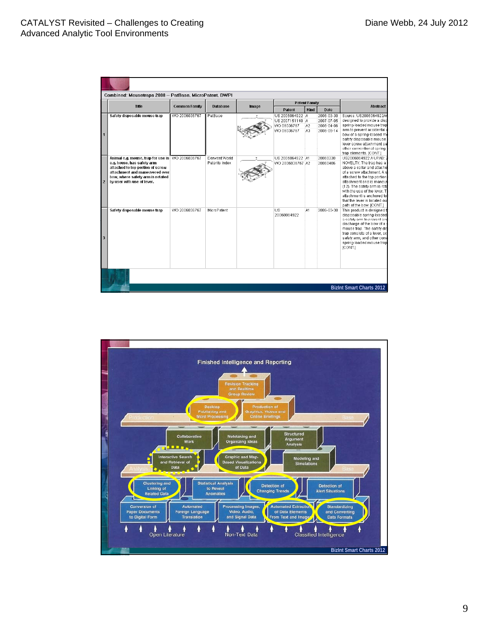|   | Title                                                                                                                                                                                                                  | <b>Common Family</b> | <b>Database</b>                | Image | <b>Patent Family</b>                                             |                      |                                                      | <b>Abstract</b>                                                                                                                                                                                                                                                                                                                       |
|---|------------------------------------------------------------------------------------------------------------------------------------------------------------------------------------------------------------------------|----------------------|--------------------------------|-------|------------------------------------------------------------------|----------------------|------------------------------------------------------|---------------------------------------------------------------------------------------------------------------------------------------------------------------------------------------------------------------------------------------------------------------------------------------------------------------------------------------|
|   |                                                                                                                                                                                                                        |                      |                                |       | Patent                                                           | Kind                 | Date                                                 |                                                                                                                                                                                                                                                                                                                                       |
|   | Safety disposable mouse trap                                                                                                                                                                                           | WO 2006036767        | PatBase                        |       | US 2006064922 A<br>US 2007151140 A<br>WO 06036767<br>WO 06036767 | A <sub>2</sub><br>A3 | 2006-03-30<br>2007-07-05<br>2006-04-06<br>2006-09-14 | Source: US2006064922AA<br>designed to provide a disp<br>spring-loaded mouse trap<br>arm to prevent accidental o<br>bow of a spring-loaded mo<br>safety disposable mouse t<br>lever screw attachment sat<br>other conventional spring-I<br>trap elements. [CONT.]                                                                      |
|   | Animal e.g. mouse, trap for use in WO 2006036767<br>e.g. house, has safety arm<br>attached to top portion of screw<br>attachment and maneuvered over<br>bow, where safety arm is rotated<br>by user with use of lever. |                      | Derwent World<br>Patents Index |       | US 2006064922 A1<br>WO 2006036767 A2                             |                      | 20060330<br>20060406                                 | US2006064922 A UPAB: 2<br>NOVELTY: The trap has a I<br>above a collar and attache<br>of a screw attachment. A s<br>attached to the top portion<br>attachment and is maneuv<br>(12). The safety arm is rota<br>with the use of the lever. Th<br>attachment is anchored to<br>that the lever is located out<br>path of the bow. [CONT.] |
| 3 | Safety disposable mouse trap                                                                                                                                                                                           | WO 2006036767        | MicroPatent                    |       | US.<br>20060064922                                               | A1                   | 2006-03-30                                           | This product is designed to<br>disposable spring-loaded<br>a safety arm to prevent acc<br>discharge of the bow of a s<br>mouse trap. The safety dis<br>trap consists of a lever, sci<br>safety arm, and other conv<br>spring-loaded mouse trap<br>[CONT.]                                                                             |

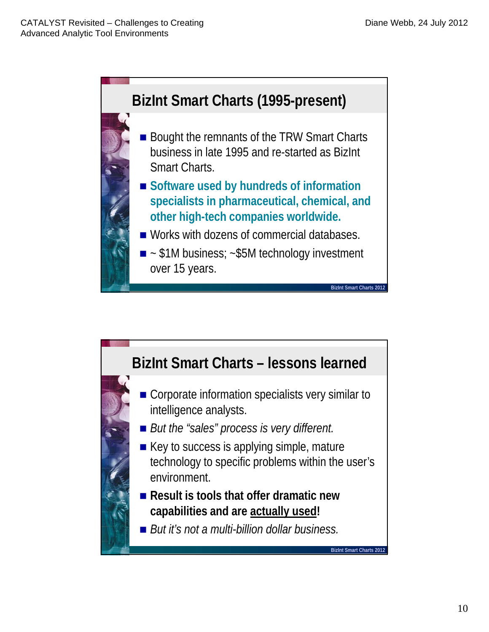



- Corporate information specialists very similar to intelligence analysts .
- *But the "sales" process is very different.*
- $\blacksquare$  Key to success is applying simple, mature technology to specific problems within the user's environment.
- Result is tools that offer dramatic new **capabilities and are actually used!**
- *But it's not a multi-billion dollar business.*

**BizInt Smart Charts 2012**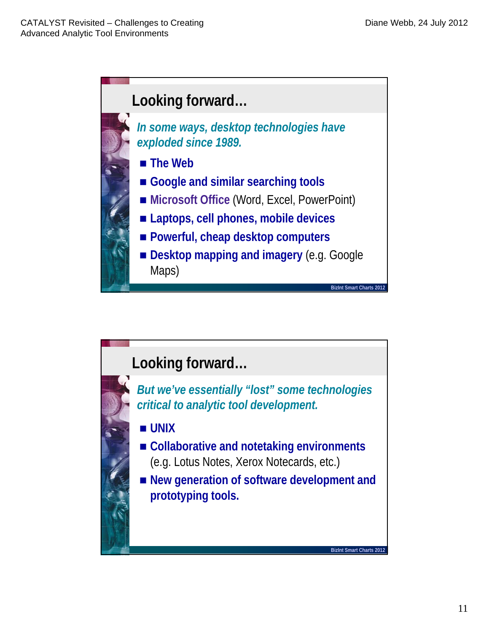